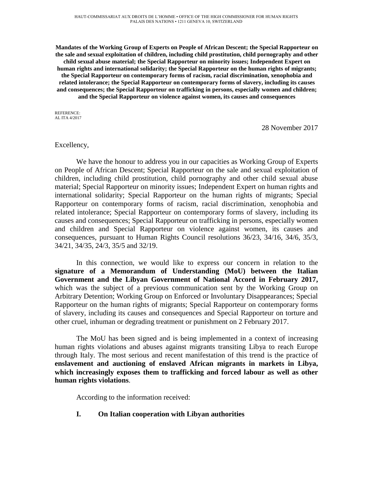**Mandates of the Working Group of Experts on People of African Descent; the Special Rapporteur on the sale and sexual exploitation of children, including child prostitution, child pornography and other child sexual abuse material; the Special Rapporteur on minority issues; Independent Expert on human rights and international solidarity; the Special Rapporteur on the human rights of migrants; the Special Rapporteur on contemporary forms of racism, racial discrimination, xenophobia and related intolerance; the Special Rapporteur on contemporary forms of slavery, including its causes and consequences; the Special Rapporteur on trafficking in persons, especially women and children; and the Special Rapporteur on violence against women, its causes and consequences**

REFERENCE: AL ITA 4/2017

28 November 2017

#### Excellency,

We have the honour to address you in our capacities as Working Group of Experts on People of African Descent; Special Rapporteur on the sale and sexual exploitation of children, including child prostitution, child pornography and other child sexual abuse material; Special Rapporteur on minority issues; Independent Expert on human rights and international solidarity; Special Rapporteur on the human rights of migrants; Special Rapporteur on contemporary forms of racism, racial discrimination, xenophobia and related intolerance; Special Rapporteur on contemporary forms of slavery, including its causes and consequences; Special Rapporteur on trafficking in persons, especially women and children and Special Rapporteur on violence against women, its causes and consequences, pursuant to Human Rights Council resolutions 36/23, 34/16, 34/6, 35/3, 34/21, 34/35, 24/3, 35/5 and 32/19.

In this connection, we would like to express our concern in relation to the **signature of a Memorandum of Understanding (MoU) between the Italian Government and the Libyan Government of National Accord in February 2017,**  which was the subject of a previous communication sent by the Working Group on Arbitrary Detention; Working Group on Enforced or Involuntary Disappearances; Special Rapporteur on the human rights of migrants; Special Rapporteur on contemporary forms of slavery, including its causes and consequences and Special Rapporteur on torture and other cruel, inhuman or degrading treatment or punishment on 2 February 2017.

The MoU has been signed and is being implemented in a context of increasing human rights violations and abuses against migrants transiting Libya to reach Europe through Italy. The most serious and recent manifestation of this trend is the practice of **enslavement and auctioning of enslaved African migrants in markets in Libya, which increasingly exposes them to trafficking and forced labour as well as other human rights violations**.

According to the information received:

# **I. On Italian cooperation with Libyan authorities**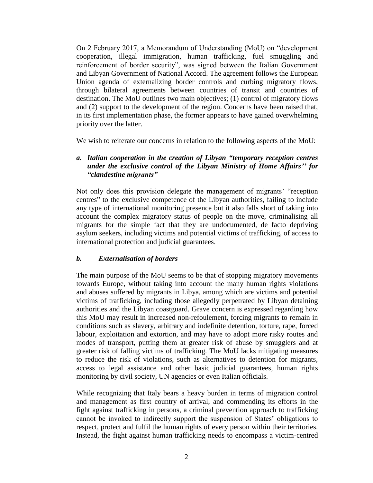On 2 February 2017, a Memorandum of Understanding (MoU) on "development cooperation, illegal immigration, human trafficking, fuel smuggling and reinforcement of border security", was signed between the Italian Government and Libyan Government of National Accord. The agreement follows the European Union agenda of externalizing border controls and curbing migratory flows, through bilateral agreements between countries of transit and countries of destination. The MoU outlines two main objectives; (1) control of migratory flows and (2) support to the development of the region. Concerns have been raised that, in its first implementation phase, the former appears to have gained overwhelming priority over the latter.

We wish to reiterate our concerns in relation to the following aspects of the MoU:

# *a. Italian cooperation in the creation of Libyan "temporary reception centres under the exclusive control of the Libyan Ministry of Home Affairs'' for "clandestine migrants"*

Not only does this provision delegate the management of migrants' "reception centres" to the exclusive competence of the Libyan authorities, failing to include any type of international monitoring presence but it also falls short of taking into account the complex migratory status of people on the move, criminalising all migrants for the simple fact that they are undocumented, de facto depriving asylum seekers, including victims and potential victims of trafficking, of access to international protection and judicial guarantees.

# *b. Externalisation of borders*

The main purpose of the MoU seems to be that of stopping migratory movements towards Europe, without taking into account the many human rights violations and abuses suffered by migrants in Libya, among which are victims and potential victims of trafficking, including those allegedly perpetrated by Libyan detaining authorities and the Libyan coastguard. Grave concern is expressed regarding how this MoU may result in increased non-refoulement, forcing migrants to remain in conditions such as slavery, arbitrary and indefinite detention, torture, rape, forced labour, exploitation and extortion, and may have to adopt more risky routes and modes of transport, putting them at greater risk of abuse by smugglers and at greater risk of falling victims of trafficking. The MoU lacks mitigating measures to reduce the risk of violations, such as alternatives to detention for migrants, access to legal assistance and other basic judicial guarantees, human rights monitoring by civil society, UN agencies or even Italian officials.

While recognizing that Italy bears a heavy burden in terms of migration control and management as first country of arrival, and commending its efforts in the fight against trafficking in persons, a criminal prevention approach to trafficking cannot be invoked to indirectly support the suspension of States' obligations to respect, protect and fulfil the human rights of every person within their territories. Instead, the fight against human trafficking needs to encompass a victim-centred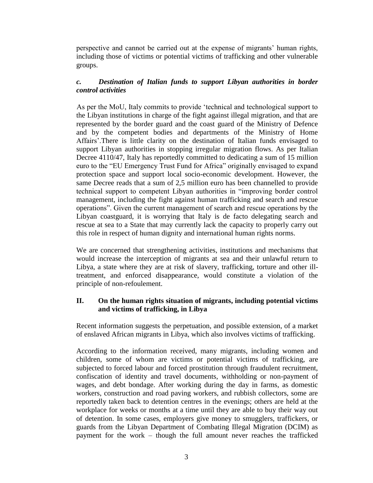perspective and cannot be carried out at the expense of migrants' human rights, including those of victims or potential victims of trafficking and other vulnerable groups.

# *c. Destination of Italian funds to support Libyan authorities in border control activities*

As per the MoU, Italy commits to provide 'technical and technological support to the Libyan institutions in charge of the fight against illegal migration, and that are represented by the border guard and the coast guard of the Ministry of Defence and by the competent bodies and departments of the Ministry of Home Affairs'.There is little clarity on the destination of Italian funds envisaged to support Libyan authorities in stopping irregular migration flows. As per Italian Decree 4110/47, Italy has reportedly committed to dedicating a sum of 15 million euro to the "EU Emergency Trust Fund for Africa" originally envisaged to expand protection space and support local socio-economic development. However, the same Decree reads that a sum of 2,5 million euro has been channelled to provide technical support to competent Libyan authorities in "improving border control management, including the fight against human trafficking and search and rescue operations". Given the current management of search and rescue operations by the Libyan coastguard, it is worrying that Italy is de facto delegating search and rescue at sea to a State that may currently lack the capacity to properly carry out this role in respect of human dignity and international human rights norms.

We are concerned that strengthening activities, institutions and mechanisms that would increase the interception of migrants at sea and their unlawful return to Libya, a state where they are at risk of slavery, trafficking, torture and other illtreatment, and enforced disappearance, would constitute a violation of the principle of non-refoulement.

#### **II. On the human rights situation of migrants, including potential victims and victims of trafficking, in Libya**

Recent information suggests the perpetuation, and possible extension, of a market of enslaved African migrants in Libya, which also involves victims of trafficking.

According to the information received, many migrants, including women and children, some of whom are victims or potential victims of trafficking, are subjected to forced labour and forced prostitution through fraudulent recruitment, confiscation of identity and travel documents, withholding or non-payment of wages, and debt bondage. After working during the day in farms, as domestic workers, construction and road paving workers, and rubbish collectors, some are reportedly taken back to detention centres in the evenings; others are held at the workplace for weeks or months at a time until they are able to buy their way out of detention. In some cases, employers give money to smugglers, traffickers, or guards from the Libyan Department of Combating Illegal Migration (DCIM) as payment for the work – though the full amount never reaches the trafficked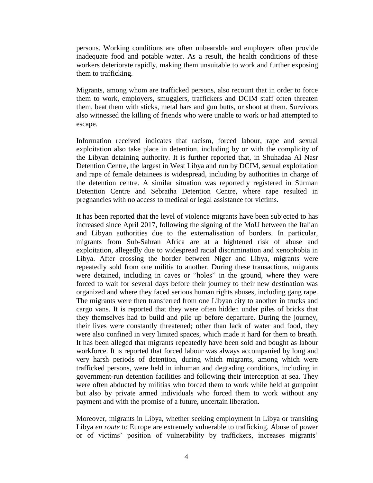persons. Working conditions are often unbearable and employers often provide inadequate food and potable water. As a result, the health conditions of these workers deteriorate rapidly, making them unsuitable to work and further exposing them to trafficking.

Migrants, among whom are trafficked persons, also recount that in order to force them to work, employers, smugglers, traffickers and DCIM staff often threaten them, beat them with sticks, metal bars and gun butts, or shoot at them. Survivors also witnessed the killing of friends who were unable to work or had attempted to escape.

Information received indicates that racism, forced labour, rape and sexual exploitation also take place in detention, including by or with the complicity of the Libyan detaining authority. It is further reported that, in Shuhadaa Al Nasr Detention Centre, the largest in West Libya and run by DCIM, sexual exploitation and rape of female detainees is widespread, including by authorities in charge of the detention centre. A similar situation was reportedly registered in Surman Detention Centre and Sebratha Detention Centre, where rape resulted in pregnancies with no access to medical or legal assistance for victims.

It has been reported that the level of violence migrants have been subjected to has increased since April 2017, following the signing of the MoU between the Italian and Libyan authorities due to the externalisation of borders. In particular, migrants from Sub-Sahran Africa are at a hightened risk of abuse and exploitation, allegedly due to widespread racial discrimination and xenophobia in Libya. After crossing the border between Niger and Libya, migrants were repeatedly sold from one militia to another. During these transactions, migrants were detained, including in caves or "holes" in the ground, where they were forced to wait for several days before their journey to their new destination was organized and where they faced serious human rights abuses, including gang rape. The migrants were then transferred from one Libyan city to another in trucks and cargo vans. It is reported that they were often hidden under piles of bricks that they themselves had to build and pile up before departure. During the journey, their lives were constantly threatened; other than lack of water and food, they were also confined in very limited spaces, which made it hard for them to breath. It has been alleged that migrants repeatedly have been sold and bought as labour workforce. It is reported that forced labour was always accompanied by long and very harsh periods of detention, during which migrants, among which were trafficked persons, were held in inhuman and degrading conditions, including in government-run detention facilities and following their interception at sea. They were often abducted by militias who forced them to work while held at gunpoint but also by private armed individuals who forced them to work without any payment and with the promise of a future, uncertain liberation.

Moreover, migrants in Libya, whether seeking employment in Libya or transiting Libya *en route* to Europe are extremely vulnerable to trafficking. Abuse of power or of victims' position of vulnerability by traffickers, increases migrants'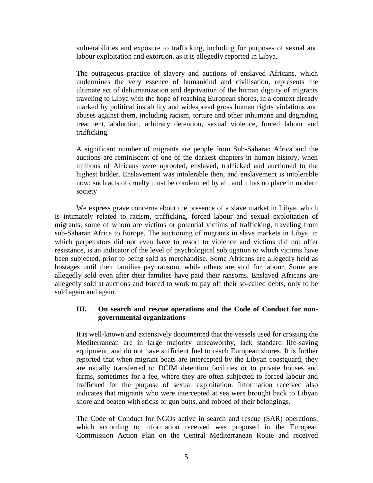vulnerabilities and exposure to trafficking, including for purposes of sexual and labour exploitation and extortion, as it is allegedly reported in Libya.

The outrageous practice of slavery and auctions of enslaved Africans, which undermines the very essence of humankind and civilisation, represents the ultimate act of dehumanization and deprivation of the human dignity of migrants traveling to Libya with the hope of reaching European shores, in a context already marked by political instability and widespread gross human rights violations and abuses against them, including racism, torture and other inhumane and degrading treatment, abduction, arbitrary detention, sexual violence, forced labour and trafficking.

A significant number of migrants are people from Sub-Saharan Africa and the auctions are reminiscent of one of the darkest chapters in human history, when millions of Africans were uprooted, enslaved, trafficked and auctioned to the highest bidder. Enslavement was intolerable then, and enslavement is intolerable now; such acts of cruelty must be condemned by all, and it has no place in modern society

We express grave concerns about the presence of a slave market in Libya, which is intimately related to racism, trafficking, forced labour and sexual exploitation of migrants, some of whom are victims or potential victims of trafficking, traveling from sub-Saharan Africa to Europe. The auctioning of migrants in slave markets in Libya, in which perpetrators did not even have to resort to violence and victims did not offer resistance, is an indicator of the level of psychological subjugation to which victims have been subjected, prior to being sold as merchandise. Some Africans are allegedly held as hostages until their families pay ransom, while others are sold for labour. Some are allegedly sold even after their families have paid their ransoms. Enslaved Africans are allegedly sold at auctions and forced to work to pay off their so-called debts, only to be sold again and again.

#### **III. On search and rescue operations and the Code of Conduct for nongovernmental organizations**

It is well-known and extensively documented that the vessels used for crossing the Mediterranean are in large majority unseaworthy, lack standard life-saving equipment, and do not have sufficient fuel to reach European shores. It is further reported that when migrant boats are intercepted by the Libyan coastguard, they are usually transferred to DCIM detention facilities or to private houses and farms, sometimes for a fee, where they are often subjected to forced labour and trafficked for the purpose of sexual exploitation. Information received also indicates that migrants who were intercepted at sea were brought back to Libyan shore and beaten with sticks or gun butts, and robbed of their belongings.

The Code of Conduct for NGOs active in search and rescue (SAR) operations, which according to information received was proposed in the European Commission Action Plan on the Central Mediterranean Route and received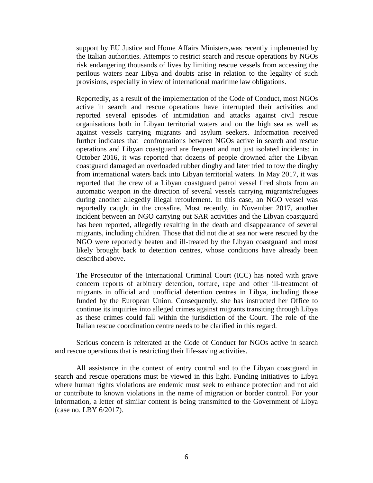support by EU Justice and Home Affairs Ministers,was recently implemented by the Italian authorities. Attempts to restrict search and rescue operations by NGOs risk endangering thousands of lives by limiting rescue vessels from accessing the perilous waters near Libya and doubts arise in relation to the legality of such provisions, especially in view of international maritime law obligations.

Reportedly, as a result of the implementation of the Code of Conduct, most NGOs active in search and rescue operations have interrupted their activities and reported several episodes of intimidation and attacks against civil rescue organisations both in Libyan territorial waters and on the high sea as well as against vessels carrying migrants and asylum seekers. Information received further indicates that confrontations between NGOs active in search and rescue operations and Libyan coastguard are frequent and not just isolated incidents; in October 2016, it was reported that dozens of people drowned after the Libyan coastguard damaged an overloaded rubber dinghy and later tried to tow the dinghy from international waters back into Libyan territorial waters. In May 2017, it was reported that the crew of a Libyan coastguard patrol vessel fired shots from an automatic weapon in the direction of several vessels carrying migrants/refugees during another allegedly illegal refoulement. In this case, an NGO vessel was reportedly caught in the crossfire. Most recently, in November 2017, another incident between an NGO carrying out SAR activities and the Libyan coastguard has been reported, allegedly resulting in the death and disappearance of several migrants, including children. Those that did not die at sea nor were rescued by the NGO were reportedly beaten and ill-treated by the Libyan coastguard and most likely brought back to detention centres, whose conditions have already been described above.

The Prosecutor of the International Criminal Court (ICC) has noted with grave concern reports of arbitrary detention, torture, rape and other ill-treatment of migrants in official and unofficial detention centres in Libya, including those funded by the European Union. Consequently, she has instructed her Office to continue its inquiries into alleged crimes against migrants transiting through Libya as these crimes could fall within the jurisdiction of the Court. The role of the Italian rescue coordination centre needs to be clarified in this regard.

Serious concern is reiterated at the Code of Conduct for NGOs active in search and rescue operations that is restricting their life-saving activities.

All assistance in the context of entry control and to the Libyan coastguard in search and rescue operations must be viewed in this light. Funding initiatives to Libya where human rights violations are endemic must seek to enhance protection and not aid or contribute to known violations in the name of migration or border control. For your information, a letter of similar content is being transmitted to the Government of Libya (case no. LBY 6/2017).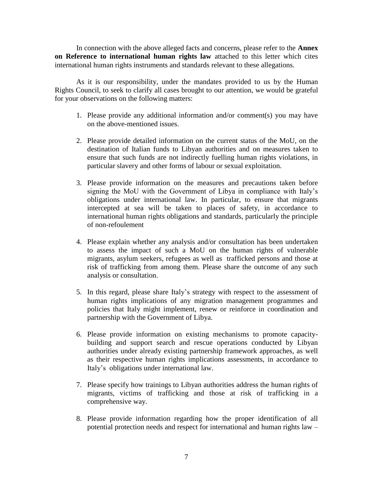In connection with the above alleged facts and concerns, please refer to the **Annex on Reference to international human rights law** attached to this letter which cites international human rights instruments and standards relevant to these allegations.

As it is our responsibility, under the mandates provided to us by the Human Rights Council, to seek to clarify all cases brought to our attention, we would be grateful for your observations on the following matters:

- 1. Please provide any additional information and/or comment(s) you may have on the above-mentioned issues.
- 2. Please provide detailed information on the current status of the MoU, on the destination of Italian funds to Libyan authorities and on measures taken to ensure that such funds are not indirectly fuelling human rights violations, in particular slavery and other forms of labour or sexual exploitation.
- 3. Please provide information on the measures and precautions taken before signing the MoU with the Government of Libya in compliance with Italy's obligations under international law. In particular, to ensure that migrants intercepted at sea will be taken to places of safety, in accordance to international human rights obligations and standards, particularly the principle of non-refoulement
- 4. Please explain whether any analysis and/or consultation has been undertaken to assess the impact of such a MoU on the human rights of vulnerable migrants, asylum seekers, refugees as well as trafficked persons and those at risk of trafficking from among them. Please share the outcome of any such analysis or consultation.
- 5. In this regard, please share Italy's strategy with respect to the assessment of human rights implications of any migration management programmes and policies that Italy might implement, renew or reinforce in coordination and partnership with the Government of Libya.
- 6. Please provide information on existing mechanisms to promote capacitybuilding and support search and rescue operations conducted by Libyan authorities under already existing partnership framework approaches, as well as their respective human rights implications assessments, in accordance to Italy's obligations under international law.
- 7. Please specify how trainings to Libyan authorities address the human rights of migrants, victims of trafficking and those at risk of trafficking in a comprehensive way.
- 8. Please provide information regarding how the proper identification of all potential protection needs and respect for international and human rights law –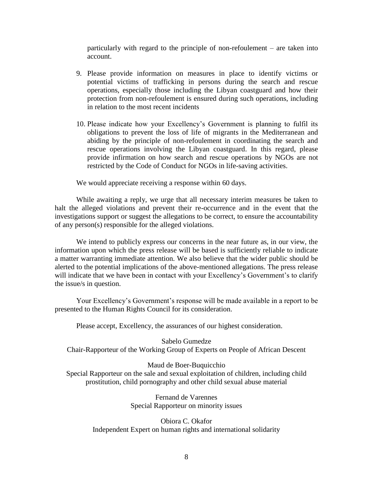particularly with regard to the principle of non-refoulement – are taken into account.

- 9. Please provide information on measures in place to identify victims or potential victims of trafficking in persons during the search and rescue operations, especially those including the Libyan coastguard and how their protection from non-refoulement is ensured during such operations, including in relation to the most recent incidents
- 10. Please indicate how your Excellency's Government is planning to fulfil its obligations to prevent the loss of life of migrants in the Mediterranean and abiding by the principle of non-refoulement in coordinating the search and rescue operations involving the Libyan coastguard. In this regard, please provide infirmation on how search and rescue operations by NGOs are not restricted by the Code of Conduct for NGOs in life-saving activities.

We would appreciate receiving a response within 60 days.

While awaiting a reply, we urge that all necessary interim measures be taken to halt the alleged violations and prevent their re-occurrence and in the event that the investigations support or suggest the allegations to be correct, to ensure the accountability of any person(s) responsible for the alleged violations.

We intend to publicly express our concerns in the near future as, in our view, the information upon which the press release will be based is sufficiently reliable to indicate a matter warranting immediate attention. We also believe that the wider public should be alerted to the potential implications of the above-mentioned allegations. The press release will indicate that we have been in contact with your Excellency's Government's to clarify the issue/s in question.

Your Excellency's Government's response will be made available in a report to be presented to the Human Rights Council for its consideration.

Please accept, Excellency, the assurances of our highest consideration.

Sabelo Gumedze Chair-Rapporteur of the Working Group of Experts on People of African Descent

Maud de Boer-Buquicchio

Special Rapporteur on the sale and sexual exploitation of children, including child prostitution, child pornography and other child sexual abuse material

> Fernand de Varennes Special Rapporteur on minority issues

Obiora C. Okafor Independent Expert on human rights and international solidarity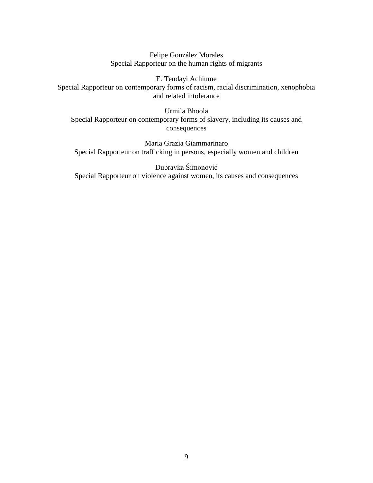Felipe González Morales Special Rapporteur on the human rights of migrants

E. Tendayi Achiume Special Rapporteur on contemporary forms of racism, racial discrimination, xenophobia and related intolerance

Urmila Bhoola Special Rapporteur on contemporary forms of slavery, including its causes and consequences

Maria Grazia Giammarinaro Special Rapporteur on trafficking in persons, especially women and children

Dubravka Šimonović Special Rapporteur on violence against women, its causes and consequences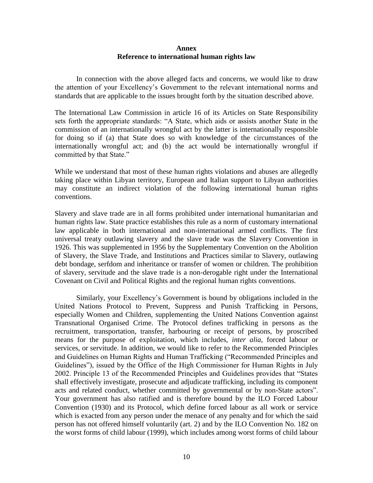#### **Annex Reference to international human rights law**

In connection with the above alleged facts and concerns, we would like to draw the attention of your Excellency's Government to the relevant international norms and standards that are applicable to the issues brought forth by the situation described above.

The International Law Commission in article 16 of its Articles on State Responsibility sets forth the appropriate standards: "A State, which aids or assists another State in the commission of an internationally wrongful act by the latter is internationally responsible for doing so if (a) that State does so with knowledge of the circumstances of the internationally wrongful act; and (b) the act would be internationally wrongful if committed by that State."

While we understand that most of these human rights violations and abuses are allegedly taking place within Libyan territory, European and Italian support to Libyan authorities may constitute an indirect violation of the following international human rights conventions.

Slavery and slave trade are in all forms prohibited under international humanitarian and human rights law. State practice establishes this rule as a norm of customary international law applicable in both international and non-international armed conflicts. The first universal treaty outlawing slavery and the slave trade was the Slavery Convention in 1926. This was supplemented in 1956 by the Supplementary Convention on the Abolition of Slavery, the Slave Trade, and Institutions and Practices similar to Slavery, outlawing debt bondage, serfdom and inheritance or transfer of women or children. The prohibition of slavery, servitude and the slave trade is a non-derogable right under the International Covenant on Civil and Political Rights and the regional human rights conventions.

Similarly, your Excellency's Government is bound by obligations included in the United Nations Protocol to Prevent, Suppress and Punish Trafficking in Persons, especially Women and Children, supplementing the United Nations Convention against Transnational Organised Crime. The Protocol defines trafficking in persons as the recruitment, transportation, transfer, harbouring or receipt of persons, by proscribed means for the purpose of exploitation, which includes, *inter alia*, forced labour or services, or servitude. In addition, we would like to refer to the Recommended Principles and Guidelines on Human Rights and Human Trafficking ("Recommended Principles and Guidelines"), issued by the Office of the High Commissioner for Human Rights in July 2002. Principle 13 of the Recommended Principles and Guidelines provides that "States shall effectively investigate, prosecute and adjudicate trafficking, including its component acts and related conduct, whether committed by governmental or by non-State actors". Your government has also ratified and is therefore bound by the ILO Forced Labour Convention (1930) and its Protocol, which define forced labour as all work or service which is exacted from any person under the menace of any penalty and for which the said person has not offered himself voluntarily (art. 2) and by the ILO Convention No. 182 on the worst forms of child labour (1999), which includes among worst forms of child labour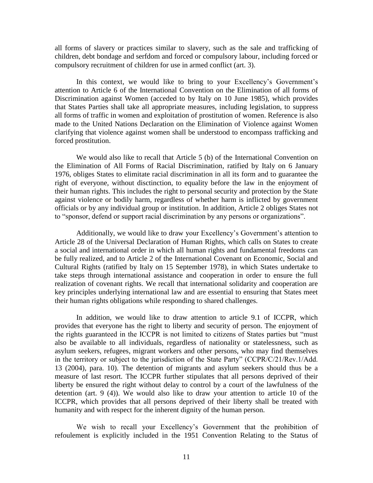all forms of slavery or practices similar to slavery, such as the sale and trafficking of children, debt bondage and serfdom and forced or compulsory labour, including forced or compulsory recruitment of children for use in armed conflict (art. 3).

In this context, we would like to bring to your Excellency's Government's attention to Article 6 of the International Convention on the Elimination of all forms of Discrimination against Women (acceded to by Italy on 10 June 1985), which provides that States Parties shall take all appropriate measures, including legislation, to suppress all forms of traffic in women and exploitation of prostitution of women. Reference is also made to the United Nations Declaration on the Elimination of Violence against Women clarifying that violence against women shall be understood to encompass trafficking and forced prostitution.

We would also like to recall that Article 5 (b) of the International Convention on the Elimination of All Forms of Racial Discrimination, ratified by Italy on 6 January 1976, obliges States to elimitate racial discrimination in all its form and to guarantee the right of everyone, without disctinction, to equality before the law in the enjoyment of their human rights. This includes the right to personal security and protection by the State against violence or bodily harm, regardless of whether harm is inflicted by government officials or by any individual group or institution. In addition, Article 2 obliges States not to "sponsor, defend or support racial discrimination by any persons or organizations".

Additionally, we would like to draw your Excellency's Government's attention to Article 28 of the Universal Declaration of Human Rights, which calls on States to create a social and international order in which all human rights and fundamental freedoms can be fully realized, and to Article 2 of the International Covenant on Economic, Social and Cultural Rights (ratified by Italy on 15 September 1978), in which States undertake to take steps through international assistance and cooperation in order to ensure the full realization of covenant rights. We recall that international solidarity and cooperation are key principles underlying international law and are essential to ensuring that States meet their human rights obligations while responding to shared challenges.

In addition, we would like to draw attention to article 9.1 of ICCPR, which provides that everyone has the right to liberty and security of person. The enjoyment of the rights guaranteed in the ICCPR is not limited to citizens of States parties but "must also be available to all individuals, regardless of nationality or statelessness, such as asylum seekers, refugees, migrant workers and other persons, who may find themselves in the territory or subject to the jurisdiction of the State Party" (CCPR/C/21/Rev.1/Add. 13 (2004), para. 10). The detention of migrants and asylum seekers should thus be a measure of last resort. The ICCPR further stipulates that all persons deprived of their liberty be ensured the right without delay to control by a court of the lawfulness of the detention (art. 9 (4)). We would also like to draw your attention to article 10 of the ICCPR, which provides that all persons deprived of their liberty shall be treated with humanity and with respect for the inherent dignity of the human person.

We wish to recall your Excellency's Government that the prohibition of refoulement is explicitly included in the 1951 Convention Relating to the Status of